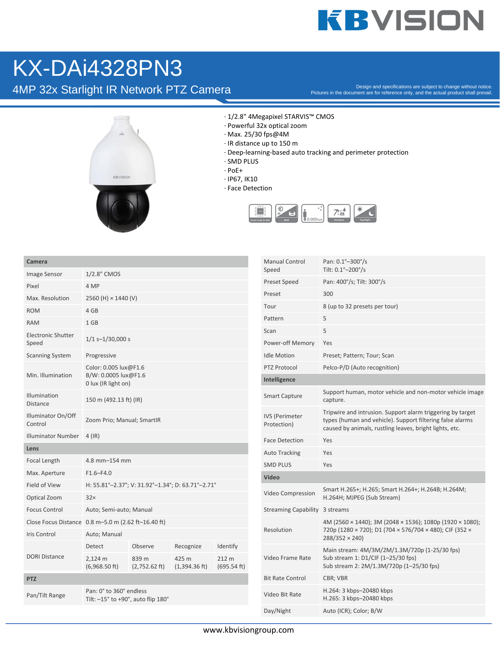## **KBVISION**

## KX-DAi4328PN3

4MP 32x Starlight IR Network PTZ Camera

Pictures in the document are for reference only, and the actual product shall prevail.



- · 1/2.8" 4Megapixel STARVIS™ CMOS
- · Powerful 32x optical zoom
- · Max. 25/30 fps@4M
- · IR distance up to 150 m
- · Deep-learning-based auto tracking and perimeter protection
- · SMD PLUS
- · PoE+
- · IP67, IK10
- · Face Detection



| Camera                             |                                                                      |                          |                                  |                      |
|------------------------------------|----------------------------------------------------------------------|--------------------------|----------------------------------|----------------------|
| Image Sensor                       | 1/2.8" CMOS                                                          |                          |                                  |                      |
| Pixel                              | 4 MP                                                                 |                          |                                  |                      |
| Max. Resolution                    | 2560 (H) × 1440 (V)                                                  |                          |                                  |                      |
| <b>ROM</b>                         | 4 GB                                                                 |                          |                                  |                      |
| <b>RAM</b>                         | 1 GB                                                                 |                          |                                  |                      |
| <b>Electronic Shutter</b><br>Speed | $1/1$ s-1/30,000 s                                                   |                          |                                  |                      |
| <b>Scanning System</b>             | Progressive                                                          |                          |                                  |                      |
| Min. Illumination                  | Color: 0.005 lux@F1.6<br>B/W: 0.0005 lux@F1.6<br>0 lux (IR light on) |                          |                                  |                      |
| Illumination<br><b>Distance</b>    | 150 m (492.13 ft) (IR)                                               |                          |                                  |                      |
| Illuminator On/Off<br>Control      | Zoom Prio; Manual; SmartIR                                           |                          |                                  |                      |
| <b>Illuminator Number</b>          | $4$ (IR)                                                             |                          |                                  |                      |
| Lens                               |                                                                      |                          |                                  |                      |
| Focal Length                       | 4.8 mm-154 mm                                                        |                          |                                  |                      |
| Max. Aperture                      | $F1.6 - F4.0$                                                        |                          |                                  |                      |
| <b>Field of View</b>               | H: 55.81°-2.37°; V: 31.92°-1.34°; D: 63.71°-2.71°                    |                          |                                  |                      |
| Optical Zoom                       | 32x                                                                  |                          |                                  |                      |
| <b>Focus Control</b>               | Auto; Semi-auto; Manual                                              |                          |                                  |                      |
|                                    | Close Focus Distance 0.8 m-5.0 m (2.62 ft-16.40 ft)                  |                          |                                  |                      |
| Iris Control                       | Auto; Manual                                                         |                          |                                  |                      |
|                                    | Detect                                                               | Observe                  | Recognize                        | Identify             |
| <b>DORI Distance</b>               | 2,124 m<br>$(6,968.50 \text{ ft})$                                   | 839 m<br>$(2,752.62$ ft) | 425 m<br>$(1,394.36 \text{ ft})$ | 212 m<br>(695.54 ft) |
| <b>PTZ</b>                         |                                                                      |                          |                                  |                      |
| Pan/Tilt Range                     | Pan: 0° to 360° endless<br>Tilt: $-15^\circ$ to +90°, auto flip 180° |                          |                                  |                      |

| <b>Manual Control</b><br>Speed       | Pan: 0.1°-300°/s<br>Tilt: 0.1°-200°/s                                                                                                                                              |
|--------------------------------------|------------------------------------------------------------------------------------------------------------------------------------------------------------------------------------|
| <b>Preset Speed</b>                  | Pan: 400°/s; Tilt: 300°/s                                                                                                                                                          |
| Preset                               | 300                                                                                                                                                                                |
| Tour                                 | 8 (up to 32 presets per tour)                                                                                                                                                      |
| Pattern                              | 5                                                                                                                                                                                  |
| Scan                                 | 5                                                                                                                                                                                  |
| Power-off Memory                     | Yes                                                                                                                                                                                |
| <b>Idle Motion</b>                   | Preset; Pattern; Tour; Scan                                                                                                                                                        |
| PTZ Protocol                         | Pelco-P/D (Auto recognition)                                                                                                                                                       |
| Intelligence                         |                                                                                                                                                                                    |
| <b>Smart Capture</b>                 | Support human, motor vehicle and non-motor vehicle image<br>capture.                                                                                                               |
| <b>IVS (Perimeter</b><br>Protection) | Tripwire and intrusion. Support alarm triggering by target<br>types (human and vehicle). Support filtering false alarms<br>caused by animals, rustling leaves, bright lights, etc. |
| <b>Face Detection</b>                | Yes                                                                                                                                                                                |
| <b>Auto Tracking</b>                 | Yes                                                                                                                                                                                |
| <b>SMD PLUS</b>                      | Yes                                                                                                                                                                                |
| Video                                |                                                                                                                                                                                    |
| Video Compression                    | Smart H.265+; H.265; Smart H.264+; H.264B; H.264M;<br>H.264H; MJPEG (Sub Stream)                                                                                                   |
| <b>Streaming Capability</b>          | 3 streams                                                                                                                                                                          |
| Resolution                           | 4M (2560 × 1440); 3M (2048 × 1536); 1080p (1920 × 1080);<br>720p (1280 × 720); D1 (704 × 576/704 × 480); CIF (352 ×<br>288/352 × 240)                                              |
| Video Frame Rate                     | Main stream: 4M/3M/2M/1.3M/720p (1-25/30 fps)<br>Sub stream 1: D1/CIF (1-25/30 fps)<br>Sub stream 2: 2M/1.3M/720p (1-25/30 fps)                                                    |
| <b>Bit Rate Control</b>              | CBR; VBR                                                                                                                                                                           |
| Video Bit Rate                       | H.264: 3 kbps-20480 kbps<br>H.265: 3 kbps-20480 kbps                                                                                                                               |
| Day/Night                            | Auto (ICR); Color; B/W                                                                                                                                                             |